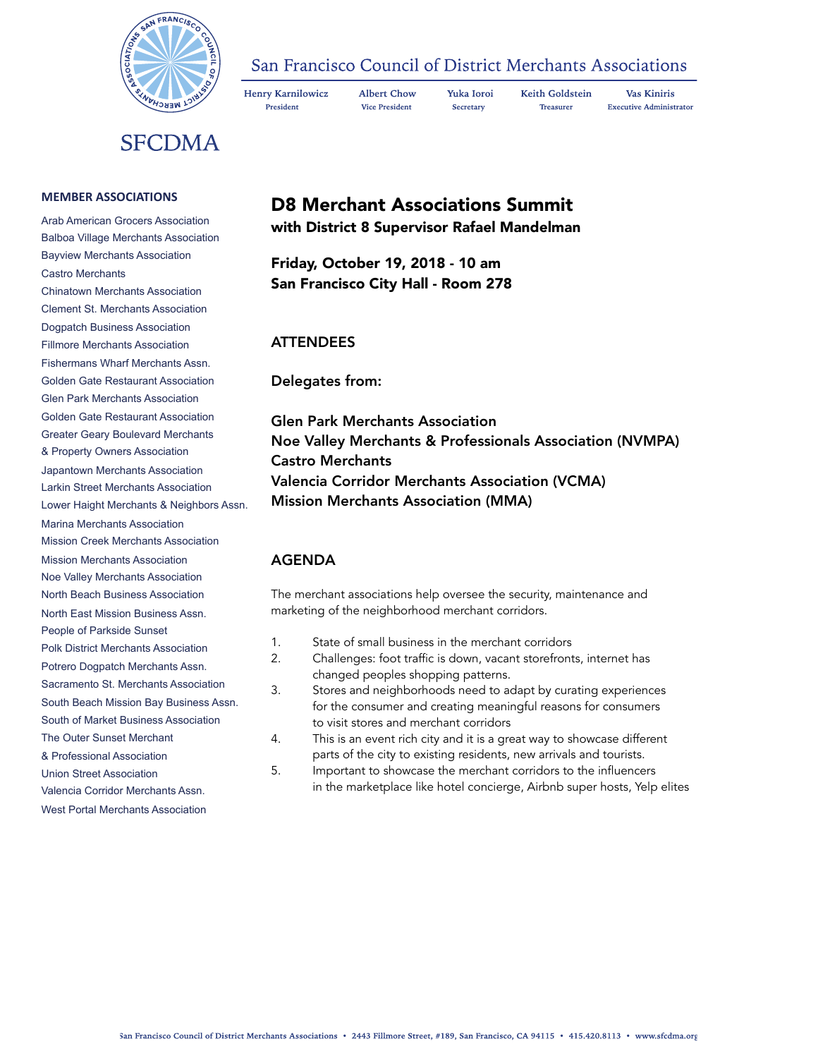

### San Francisco Council of District Merchants Associations

Henry Karnilowicz President

**Albert Chow** Yuka Ioroi **Vice President** Secretary

**Treasurer** 

**Keith Goldstein** 

**Vas Kiniris Executive Administrator** 

**SFCDMA** 

#### **MEMBER ASSOCIATIONS**

Arab American Grocers Association Balboa Village Merchants Association Bayview Merchants Association Castro Merchants Chinatown Merchants Association Clement St. Merchants Association Dogpatch Business Association Fillmore Merchants Association Fishermans Wharf Merchants Assn. Golden Gate Restaurant Association Glen Park Merchants Association Golden Gate Restaurant Association Greater Geary Boulevard Merchants & Property Owners Association Japantown Merchants Association Larkin Street Merchants Association Lower Haight Merchants & Neighbors Assn. Marina Merchants Association Mission Creek Merchants Association Mission Merchants Association Noe Valley Merchants Association North Beach Business Association North East Mission Business Assn. People of Parkside Sunset Polk District Merchants Association Potrero Dogpatch Merchants Assn. Sacramento St. Merchants Association South Beach Mission Bay Business Assn. South of Market Business Association The Outer Sunset Merchant & Professional Association Union Street Association Valencia Corridor Merchants Assn. West Portal Merchants Association

# D8 Merchant Associations Summit

with District 8 Supervisor Rafael Mandelman

Friday, October 19, 2018 - 10 am San Francisco City Hall - Room 278

#### ATTENDEES

Delegates from:

Glen Park Merchants Association Noe Valley Merchants & Professionals Association (NVMPA) Castro Merchants Valencia Corridor Merchants Association (VCMA) Mission Merchants Association (MMA)

### AGENDA

The merchant associations help oversee the security, maintenance and marketing of the neighborhood merchant corridors.

- 1. State of small business in the merchant corridors
- 2. Challenges: foot traffic is down, vacant storefronts, internet has changed peoples shopping patterns.
- 3. Stores and neighborhoods need to adapt by curating experiences for the consumer and creating meaningful reasons for consumers to visit stores and merchant corridors
- 4. This is an event rich city and it is a great way to showcase different parts of the city to existing residents, new arrivals and tourists.
- 5. Important to showcase the merchant corridors to the influencers in the marketplace like hotel concierge, Airbnb super hosts, Yelp elites